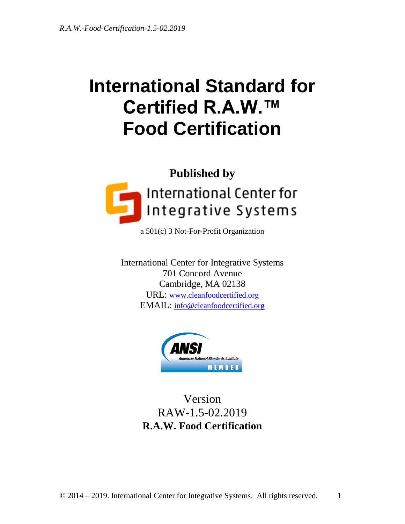# **International Standard for Certified R.A.W.™ Food Certification**



a 501(c) 3 Not-For-Profit Organization

International Center for Integrative Systems 701 Concord Avenue Cambridge, MA 02138 URL: [www.cleanfoodcertified.org](http://www.cleanfoodcertified.org/) EMAIL: [info@cleanfoodcertified.org](mailto:info@cleanfoodcertified.org)



Version RAW-1.5-02.2019 **R.A.W. Food Certification**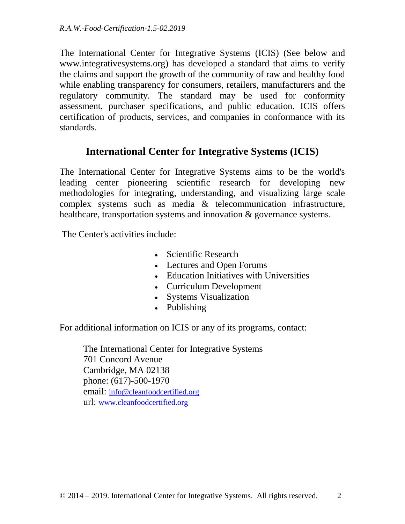The International Center for Integrative Systems (ICIS) (See below and www.integrativesystems.org) has developed a standard that aims to verify the claims and support the growth of the community of raw and healthy food while enabling transparency for consumers, retailers, manufacturers and the regulatory community. The standard may be used for conformity assessment, purchaser specifications, and public education. ICIS offers certification of products, services, and companies in conformance with its standards.

# **International Center for Integrative Systems (ICIS)**

The International Center for Integrative Systems aims to be the world's leading center pioneering scientific research for developing new methodologies for integrating, understanding, and visualizing large scale complex systems such as media & telecommunication infrastructure, healthcare, transportation systems and innovation & governance systems.

The Center's activities include:

- Scientific Research
- Lectures and Open Forums
- Education Initiatives with Universities
- Curriculum Development
- Systems Visualization
- Publishing

For additional information on ICIS or any of its programs, contact:

The International Center for Integrative Systems 701 Concord Avenue Cambridge, MA 02138 phone: (617)-500-1970 email: [info@cleanfoodcertified.org](mailto:info@cleanfoodcertified.org) url: [www.cleanfoodcertified.org](http://www.cleanfoodcertified.org/)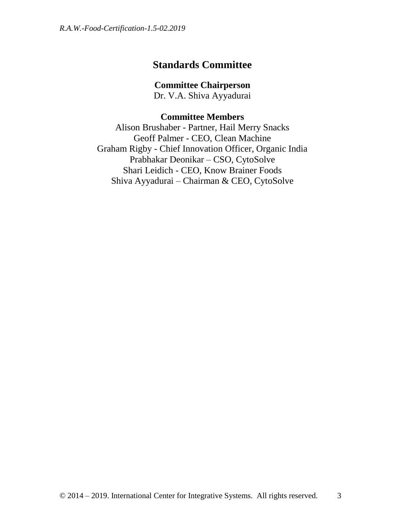# **Standards Committee**

**Committee Chairperson**

Dr. V.A. Shiva Ayyadurai

## **Committee Members**

Alison Brushaber - Partner, Hail Merry Snacks Geoff Palmer - CEO, Clean Machine Graham Rigby - Chief Innovation Officer, Organic India Prabhakar Deonikar – CSO, CytoSolve Shari Leidich - CEO, Know Brainer Foods Shiva Ayyadurai – Chairman & CEO, CytoSolve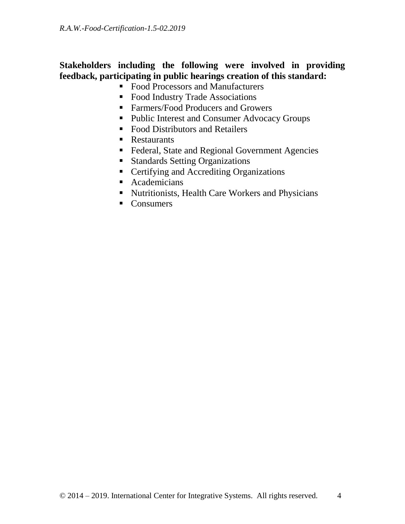## **Stakeholders including the following were involved in providing feedback, participating in public hearings creation of this standard:**

- Food Processors and Manufacturers
- Food Industry Trade Associations
- Farmers/Food Producers and Growers
- Public Interest and Consumer Advocacy Groups
- Food Distributors and Retailers
- Restaurants
- Federal, State and Regional Government Agencies
- **Standards Setting Organizations**
- Certifying and Accrediting Organizations
- **Academicians**
- Nutritionists, Health Care Workers and Physicians
- Consumers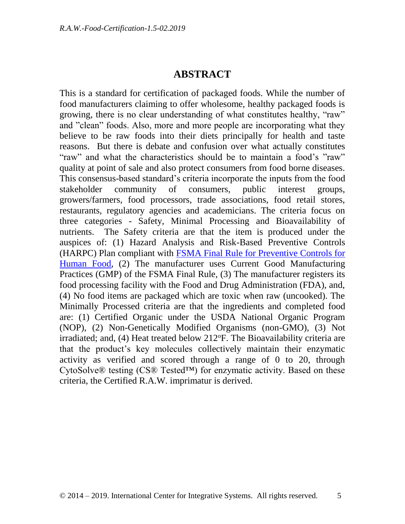## **ABSTRACT**

This is a standard for certification of packaged foods. While the number of food manufacturers claiming to offer wholesome, healthy packaged foods is growing, there is no clear understanding of what constitutes healthy, "raw" and "clean" foods. Also, more and more people are incorporating what they believe to be raw foods into their diets principally for health and taste reasons. But there is debate and confusion over what actually constitutes "raw" and what the characteristics should be to maintain a food's "raw" quality at point of sale and also protect consumers from food borne diseases. This consensus-based standard's criteria incorporate the inputs from the food stakeholder community of consumers, public interest groups, growers/farmers, food processors, trade associations, food retail stores, restaurants, regulatory agencies and academicians. The criteria focus on three categories - Safety, Minimal Processing and Bioavailability of nutrients. The Safety criteria are that the item is produced under the auspices of: (1) Hazard Analysis and Risk-Based Preventive Controls (HARPC) Plan compliant with [FSMA Final Rule for Preventive Controls for](https://www.fda.gov/Food/GuidanceRegulation/FSMA/ucm334115.htm)  [Human Food,](https://www.fda.gov/Food/GuidanceRegulation/FSMA/ucm334115.htm) (2) The manufacturer uses Current Good Manufacturing Practices (GMP) of the FSMA Final Rule, (3) The manufacturer registers its food processing facility with the Food and Drug Administration (FDA), and, (4) No food items are packaged which are toxic when raw (uncooked). The Minimally Processed criteria are that the ingredients and completed food are: (1) Certified Organic under the USDA National Organic Program (NOP), (2) Non-Genetically Modified Organisms (non-GMO), (3) Not irradiated; and,  $(4)$  Heat treated below 212 $\textdegree$ F. The Bioavailability criteria are that the product's key molecules collectively maintain their enzymatic activity as verified and scored through a range of 0 to 20, through CytoSolve® testing (CS® Tested™) for enzymatic activity. Based on these criteria, the Certified R.A.W. imprimatur is derived.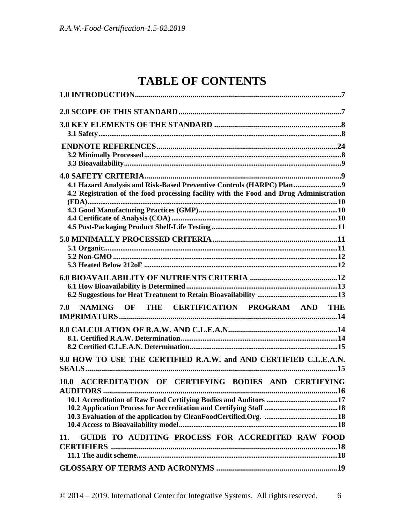# **TABLE OF CONTENTS**

| 4.2 Registration of the food processing facility with the Food and Drug Administration |
|----------------------------------------------------------------------------------------|
|                                                                                        |
|                                                                                        |
|                                                                                        |
| NAMING OF THE CERTIFICATION PROGRAM AND THE<br>7.0                                     |
|                                                                                        |
| 9.0 HOW TO USE THE CERTIFIED R.A.W. and AND CERTIFIED C.L.E.A.N.                       |
| 10.0 ACCREDITATION OF CERTIFYING BODIES AND CERTIFYING                                 |
| GUIDE TO AUDITING PROCESS FOR ACCREDITED RAW FOOD<br>11.<br><b>CERTIFIERS</b>          |
|                                                                                        |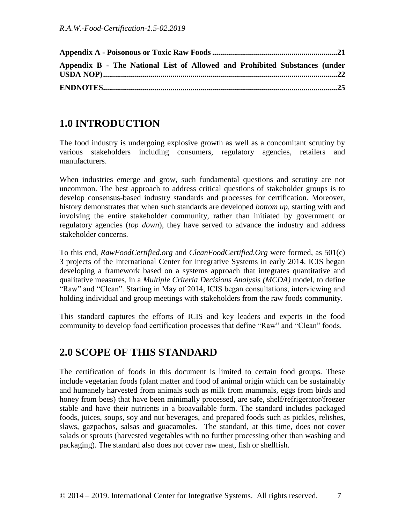| Appendix B - The National List of Allowed and Prohibited Substances (under |  |
|----------------------------------------------------------------------------|--|
|                                                                            |  |

# <span id="page-6-0"></span>**1.0 INTRODUCTION**

The food industry is undergoing explosive growth as well as a concomitant scrutiny by various stakeholders including consumers, regulatory agencies, retailers and manufacturers.

When industries emerge and grow, such fundamental questions and scrutiny are not uncommon. The best approach to address critical questions of stakeholder groups is to develop consensus-based industry standards and processes for certification. Moreover, history demonstrates that when such standards are developed *bottom up,* starting with and involving the entire stakeholder community, rather than initiated by government or regulatory agencies (*top down*), they have served to advance the industry and address stakeholder concerns.

To this end, *RawFoodCertified.org* and *CleanFoodCertified.Org* were formed, as 501(c) 3 projects of the International Center for Integrative Systems in early 2014. ICIS began developing a framework based on a systems approach that integrates quantitative and qualitative measures, in a *Multiple Criteria Decisions Analysis (MCDA)* model, to define "Raw" and "Clean". Starting in May of 2014, ICIS began consultations, interviewing and holding individual and group meetings with stakeholders from the raw foods community.

This standard captures the efforts of ICIS and key leaders and experts in the food community to develop food certification processes that define "Raw" and "Clean" foods.

# <span id="page-6-1"></span>**2.0 SCOPE OF THIS STANDARD**

The certification of foods in this document is limited to certain food groups. These include vegetarian foods (plant matter and food of animal origin which can be sustainably and humanely harvested from animals such as milk from mammals, eggs from birds and honey from bees) that have been minimally processed, are safe, shelf/refrigerator/freezer stable and have their nutrients in a bioavailable form. The standard includes packaged foods, juices, soups, soy and nut beverages, and prepared foods such as pickles, relishes, slaws, gazpachos, salsas and guacamoles. The standard, at this time, does not cover salads or sprouts (harvested vegetables with no further processing other than washing and packaging). The standard also does not cover raw meat, fish or shellfish.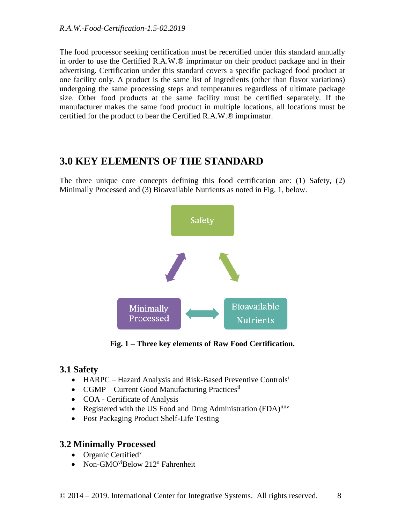The food processor seeking certification must be recertified under this standard annually in order to use the Certified R.A.W.® imprimatur on their product package and in their advertising. Certification under this standard covers a specific packaged food product at one facility only. A product is the same list of ingredients (other than flavor variations) undergoing the same processing steps and temperatures regardless of ultimate package size. Other food products at the same facility must be certified separately. If the manufacturer makes the same food product in multiple locations, all locations must be certified for the product to bear the Certified R.A.W.® imprimatur.

# <span id="page-7-0"></span>**3.0 KEY ELEMENTS OF THE STANDARD**

The three unique core concepts defining this food certification are: (1) Safety, (2) Minimally Processed and (3) Bioavailable Nutrients as noted in Fig. 1, below.



**Fig. 1 – Three key elements of Raw Food Certification.**

## <span id="page-7-1"></span>**3.1 Safety**

- HARPC Hazard Analysis and Risk-Based Preventive Controls<sup>i</sup>
- CGMP Current Good Manufacturing Practices<sup>ii</sup>
- COA Certificate of Analysis
- Registered with the US Food and Drug Administration (FDA)<sup>iiiiv</sup>
- Post Packaging Product Shelf-Life Testing

## <span id="page-7-2"></span>**3.2 Minimally Processed**

- $\bullet$  Organic Certified<sup>v</sup>
- Non-GMO<sup>vi</sup>Below 212<sup>o</sup> Fahrenheit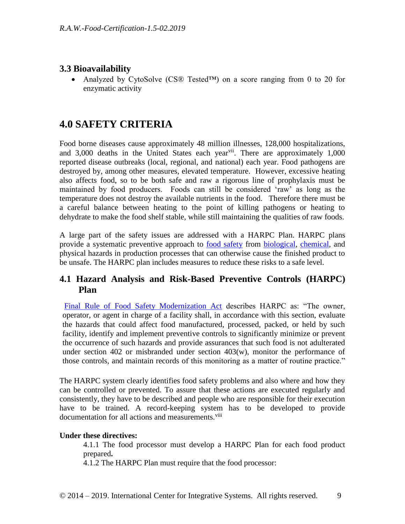## <span id="page-8-0"></span>**3.3 Bioavailability**

 Analyzed by CytoSolve (CS® Tested™) on a score ranging from 0 to 20 for enzymatic activity

# <span id="page-8-1"></span>**4.0 SAFETY CRITERIA**

Food borne diseases cause approximately 48 million illnesses, 128,000 hospitalizations, and  $3,000$  deaths in the United States each year<sup>vii</sup>. There are approximately  $1,000$ reported disease outbreaks (local, regional, and national) each year. Food pathogens are destroyed by, among other measures, elevated temperature. However, excessive heating also affects food, so to be both safe and raw a rigorous line of prophylaxis must be maintained by food producers. Foods can still be considered 'raw' as long as the temperature does not destroy the available nutrients in the food. Therefore there must be a careful balance between heating to the point of killing pathogens or heating to dehydrate to make the food shelf stable, while still maintaining the qualities of raw foods.

A large part of the safety issues are addressed with a HARPC Plan. HARPC plans provide a systematic preventive approach to [food safety](http://en.wikipedia.org/wiki/Food_safety) from [biological,](http://en.wikipedia.org/wiki/Biological_hazard) [chemical,](http://en.wikipedia.org/wiki/Chemical_hazard) and physical hazards in production processes that can otherwise cause the finished product to be unsafe. The HARPC plan includes measures to reduce these risks to a safe level.

## <span id="page-8-2"></span>**4.1 Hazard Analysis and Risk-Based Preventive Controls (HARPC) Plan**

[Final Rule of Food Safety Modernization Act](https://www.fda.gov/Food/GuidanceRegulation/FSMA/ucm334115.htm) describes HARPC as: "The owner, operator, or agent in charge of a facility shall, in accordance with this section, evaluate the hazards that could affect food manufactured, processed, packed, or held by such facility, identify and implement preventive controls to significantly minimize or prevent the occurrence of such hazards and provide assurances that such food is not adulterated under section  $402$  or misbranded under section  $403(w)$ , monitor the performance of those controls, and maintain records of this monitoring as a matter of routine practice."

The HARPC system clearly identifies food safety problems and also where and how they can be controlled or prevented. To assure that these actions are executed regularly and consistently, they have to be described and people who are responsible for their execution have to be trained. A record-keeping system has to be developed to provide documentation for all actions and measurements.<sup>viii</sup>

#### **Under these directives:**

4.1.1 The food processor must develop a HARPC Plan for each food product prepared**.** 

4.1.2 The HARPC Plan must require that the food processor: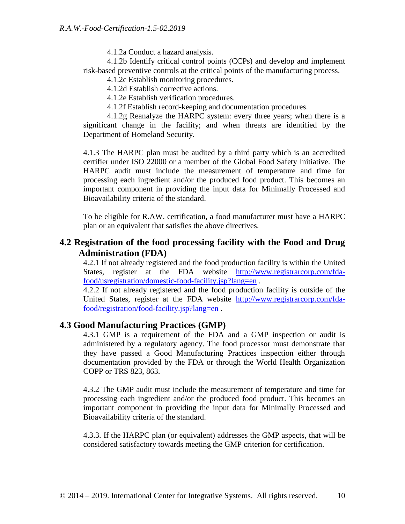4.1.2a Conduct a hazard analysis.

4.1.2b Identify critical control points (CCPs) and develop and implement risk-based preventive controls at the critical points of the manufacturing process.

4.1.2c Establish monitoring procedures.

4.1.2d Establish corrective actions.

4.1.2e Establish verification procedures.

4.1.2f Establish record-keeping and documentation procedures.

4.1.2g Reanalyze the HARPC system: every three years; when there is a significant change in the facility; and when threats are identified by the Department of Homeland Security.

4.1.3 The HARPC plan must be audited by a third party which is an accredited certifier under ISO 22000 or a member of the Global Food Safety Initiative. The HARPC audit must include the measurement of temperature and time for processing each ingredient and/or the produced food product. This becomes an important component in providing the input data for Minimally Processed and Bioavailability criteria of the standard.

To be eligible for R.AW. certification, a food manufacturer must have a HARPC plan or an equivalent that satisfies the above directives.

## <span id="page-9-0"></span>**4.2 Registration of the food processing facility with the Food and Drug Administration (FDA)**

4.2.1 If not already registered and the food production facility is within the United States, register at the FDA website [http://www.registrarcorp.com/fda](http://www.registrarcorp.com/fda-food/usregistration/domestic-food-facility.jsp?lang=en)[food/usregistration/domestic-food-facility.jsp?lang=en](http://www.registrarcorp.com/fda-food/usregistration/domestic-food-facility.jsp?lang=en) .

4.2.2 If not already registered and the food production facility is outside of the United States, register at the FDA website [http://www.registrarcorp.com/fda](http://www.registrarcorp.com/fda-food/registration/food-facility.jsp?lang=en)[food/registration/food-facility.jsp?lang=en](http://www.registrarcorp.com/fda-food/registration/food-facility.jsp?lang=en) .

### <span id="page-9-1"></span>**4.3 Good Manufacturing Practices (GMP)**

4.3.1 GMP is a requirement of the FDA and a GMP inspection or audit is administered by a regulatory agency. The food processor must demonstrate that they have passed a Good Manufacturing Practices inspection either through documentation provided by the FDA or through the World Health Organization COPP or TRS 823, 863.

4.3.2 The GMP audit must include the measurement of temperature and time for processing each ingredient and/or the produced food product. This becomes an important component in providing the input data for Minimally Processed and Bioavailability criteria of the standard.

4.3.3. If the HARPC plan (or equivalent) addresses the GMP aspects, that will be considered satisfactory towards meeting the GMP criterion for certification.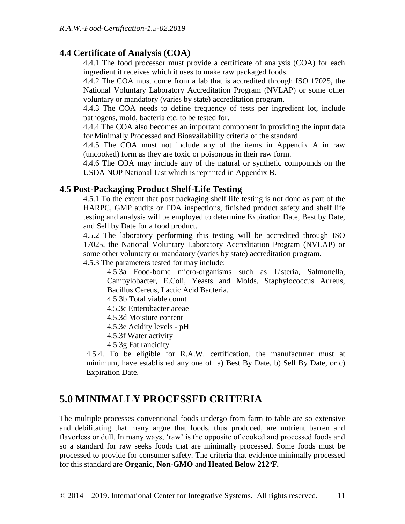#### <span id="page-10-0"></span>**4.4 Certificate of Analysis (COA)**

4.4.1 The food processor must provide a certificate of analysis (COA) for each ingredient it receives which it uses to make raw packaged foods.

4.4.2 The COA must come from a lab that is accredited through ISO 17025, the National Voluntary Laboratory Accreditation Program (NVLAP) or some other voluntary or mandatory (varies by state) accreditation program.

4.4.3 The COA needs to define frequency of tests per ingredient lot, include pathogens, mold, bacteria etc. to be tested for.

4.4.4 The COA also becomes an important component in providing the input data for Minimally Processed and Bioavailability criteria of the standard.

4.4.5 The COA must not include any of the items in Appendix A in raw (uncooked) form as they are toxic or poisonous in their raw form.

4.4.6 The COA may include any of the natural or synthetic compounds on the USDA NOP National List which is reprinted in Appendix B.

#### <span id="page-10-1"></span>**4.5 Post-Packaging Product Shelf-Life Testing**

4.5.1 To the extent that post packaging shelf life testing is not done as part of the HARPC, GMP audits or FDA inspections, finished product safety and shelf life testing and analysis will be employed to determine Expiration Date, Best by Date, and Sell by Date for a food product.

4.5.2 The laboratory performing this testing will be accredited through ISO 17025, the National Voluntary Laboratory Accreditation Program (NVLAP) or some other voluntary or mandatory (varies by state) accreditation program.

4.5.3 The parameters tested for may include:

4.5.3a Food-borne micro-organisms such as Listeria, Salmonella, Campylobacter, E.Coli, Yeasts and Molds, Staphylococcus Aureus, Bacillus Cereus, Lactic Acid Bacteria.

4.5.3b Total viable count

4.5.3c Enterobacteriaceae

- 4.5.3d Moisture content
- 4.5.3e Acidity levels pH
- 4.5.3f Water activity
- 4.5.3g Fat rancidity

4.5.4. To be eligible for R.A.W. certification, the manufacturer must at minimum, have established any one of a) Best By Date, b) Sell By Date, or c) Expiration Date.

## <span id="page-10-2"></span>**5.0 MINIMALLY PROCESSED CRITERIA**

The multiple processes conventional foods undergo from farm to table are so extensive and debilitating that many argue that foods, thus produced, are nutrient barren and flavorless or dull. In many ways, 'raw' is the opposite of cooked and processed foods and so a standard for raw seeks foods that are minimally processed. Some foods must be processed to provide for consumer safety. The criteria that evidence minimally processed for this standard are **Organic**, **Non-GMO** and **Heated Below 212<sup>o</sup>F.**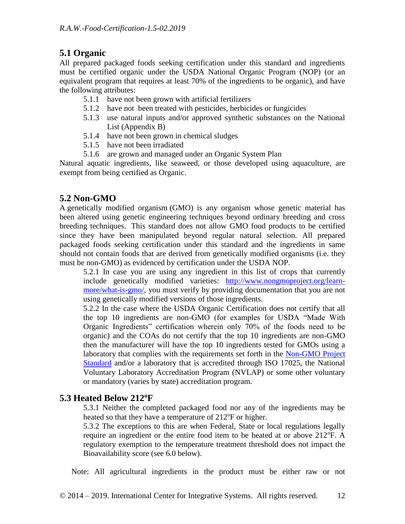## <span id="page-11-0"></span>**5.1 Organic**

All prepared packaged foods seeking certification under this standard and ingredients must be certified organic under the USDA National Organic Program (NOP) (or an equivalent program that requires at least 70% of the ingredients to be organic), and have the following attributes:

- 5.1.1 have not been grown with artificial fertilizers
- 5.1.2 have not been treated with pesticides, herbicides or fungicides
- 5.1.3 use natural inputs and/or approved synthetic substances on the National List (Appendix B)
- 5.1.4 have not been grown in chemical sludges
- 5.1.5 have not been irradiated
- 5.1.6 are grown and managed under an Organic System Plan

Natural aquatic ingredients, like seaweed, or those developed using aquaculture, are exempt from being certified as Organic.

### <span id="page-11-1"></span>**5.2 Non-GMO**

A genetically modified organism (GMO) is any organism whose genetic material has been altered using genetic engineering techniques beyond ordinary breeding and cross breeding techniques. This standard does not allow GMO food products to be certified since they have been manipulated beyond regular natural selection. All prepared packaged foods seeking certification under this standard and the ingredients in same should not contain foods that are derived from genetically modified organisms (i.e. they must be non-GMO) as evidenced by certification under the USDA NOP.

5.2.1 In case you are using any ingredient in this list of crops that currently include genetically modified varieties: [http://www.nongmoproject.org/learn](http://www.nongmoproject.org/learn-more/what-is-gmo/)[more/what-is-gmo/,](http://www.nongmoproject.org/learn-more/what-is-gmo/) you must verify by providing documentation that you are not using genetically modified versions of those ingredients.

5.2.2 In the case where the USDA Organic Certification does not certify that all the top 10 ingredients are non-GMO (for examples for USDA "Made With Organic Ingredients" certification wherein only 70% of the foods need to be organic) and the COAs do not certify that the top 10 ingredients are non-GMO then the manufacturer will have the top 10 ingredients tested for GMOs using a laboratory that complies with the requirements set forth in the [Non-GMO Project](https://www.nongmoproject.org/product-verification/non-gmo-project-standard/)  [Standard](https://www.nongmoproject.org/product-verification/non-gmo-project-standard/) and/or a laboratory that is accredited through ISO 17025, the National Voluntary Laboratory Accreditation Program (NVLAP) or some other voluntary or mandatory (varies by state) accreditation program.

## <span id="page-11-2"></span>**5.3 Heated Below 212<sup>o</sup>F**

5.3.1 Neither the completed packaged food nor any of the ingredients may be heated so that they have a temperature of 212<sup>o</sup>F or higher.

5.3.2 The exceptions to this are when Federal, State or local regulations legally require an ingredient or the entire food item to be heated at or above 212°F. A regulatory exemption to the temperature treatment threshold does not impact the Bioavailability score (see 6.0 below).

Note: All agricultural ingredients in the product must be either raw or not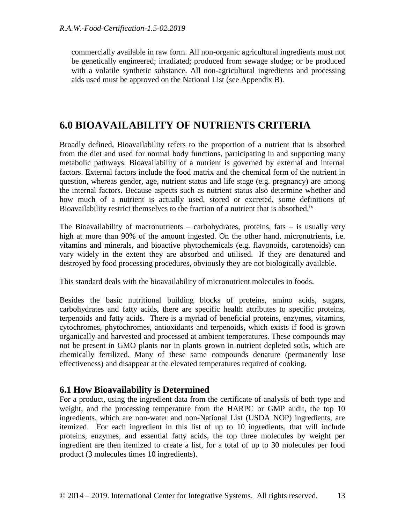commercially available in raw form. All non-organic agricultural ingredients must not be genetically engineered; irradiated; produced from sewage sludge; or be produced with a volatile synthetic substance. All non-agricultural ingredients and processing aids used must be approved on the National List (see Appendix B).

# <span id="page-12-0"></span>**6.0 BIOAVAILABILITY OF NUTRIENTS CRITERIA**

Broadly defined, Bioavailability refers to the proportion of a nutrient that is absorbed from the diet and used for normal body functions, participating in and supporting many metabolic pathways. Bioavailability of a nutrient is governed by external and internal factors. External factors include the food matrix and the chemical form of the nutrient in question, whereas gender, age, nutrient status and life stage (e.g. pregnancy) are among the internal factors. Because aspects such as nutrient status also determine whether and how much of a nutrient is actually used, stored or excreted, some definitions of Bioavailability restrict themselves to the fraction of a nutrient that is absorbed.<sup>ix</sup>

The Bioavailability of macronutrients – carbohydrates, proteins, fats – is usually very high at more than 90% of the amount ingested. On the other hand, micronutrients, i.e. vitamins and minerals, and bioactive phytochemicals (e.g. flavonoids, carotenoids) can vary widely in the extent they are absorbed and utilised. If they are denatured and destroyed by food processing procedures, obviously they are not biologically available.

This standard deals with the bioavailability of micronutrient molecules in foods.

Besides the basic nutritional building blocks of proteins, amino acids, sugars, carbohydrates and fatty acids, there are specific health attributes to specific proteins, terpenoids and fatty acids. There is a myriad of beneficial proteins, enzymes, vitamins, cytochromes, phytochromes, antioxidants and terpenoids, which exists if food is grown organically and harvested and processed at ambient temperatures. These compounds may not be present in GMO plants nor in plants grown in nutrient depleted soils, which are chemically fertilized. Many of these same compounds denature (permanently lose effectiveness) and disappear at the elevated temperatures required of cooking.

### <span id="page-12-1"></span>**6.1 How Bioavailability is Determined**

For a product, using the ingredient data from the certificate of analysis of both type and weight, and the processing temperature from the HARPC or GMP audit, the top 10 ingredients, which are non-water and non-National List (USDA NOP) ingredients, are itemized. For each ingredient in this list of up to 10 ingredients, that will include proteins, enzymes, and essential fatty acids, the top three molecules by weight per ingredient are then itemized to create a list, for a total of up to 30 molecules per food product (3 molecules times 10 ingredients).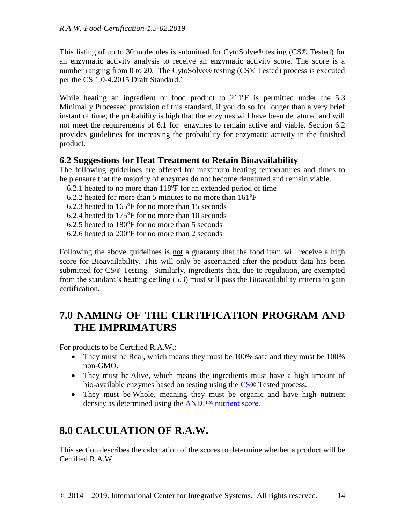This listing of up to 30 molecules is submitted for CytoSolve® testing (CS® Tested) for an enzymatic activity analysis to receive an enzymatic activity score. The score is a number ranging from 0 to 20. The CytoSolve® testing (CS® Tested) process is executed per the CS 1.0-4.2015 Draft Standard.<sup>x</sup>

While heating an ingredient or food product to  $211^{\circ}$ F is permitted under the 5.3 Minimally Processed provision of this standard, if you do so for longer than a very brief instant of time, the probability is high that the enzymes will have been denatured and will not meet the requirements of 6.1 for enzymes to remain active and viable. Section 6.2 provides guidelines for increasing the probability for enzymatic activity in the finished product.

### <span id="page-13-0"></span>**6.2 Suggestions for Heat Treatment to Retain Bioavailability**

The following guidelines are offered for maximum heating temperatures and times to help ensure that the majority of enzymes do not become denatured and remain viable.

6.2.1 heated to no more than  $118^{\circ}$ F for an extended period of time

6.2.2 heated for more than 5 minutes to no more than  $161^{\circ}F$ 

6.2.3 heated to  $165^{\circ}$ F for no more than 15 seconds

6.2.4 heated to  $175^{\circ}$ F for no more than 10 seconds

6.2.5 heated to  $180^{\circ}$  F for no more than 5 seconds

 $6.2.6$  heated to  $200^{\circ}$  F for no more than 2 seconds

Following the above guidelines is not a guaranty that the food item will receive a high score for Bioavailability. This will only be ascertained after the product data has been submitted for CS® Testing. Similarly, ingredients that, due to regulation, are exempted from the standard's heating ceiling (5.3) must still pass the Bioavailability criteria to gain certification.

# <span id="page-13-1"></span>**7.0 NAMING OF THE CERTIFICATION PROGRAM AND THE IMPRIMATURS**

For products to be Certified R.A.W.:

- They must be Real, which means they must be 100% safe and they must be 100% non-GMO.
- They must be Alive, which means the ingredients must have a high amount of bio-available enzymes based on testing using the [CS®](http://cytosolve.com/) Tested process.
- They must be Whole, meaning they must be organic and have high nutrient density as determined using the [ANDI™ nutrient score.](https://www.drfuhrman.com/library/andi-food-scores.aspx)

# <span id="page-13-2"></span>**8.0 CALCULATION OF R.A.W.**

This section describes the calculation of the scores to determine whether a product will be Certified R.A.W.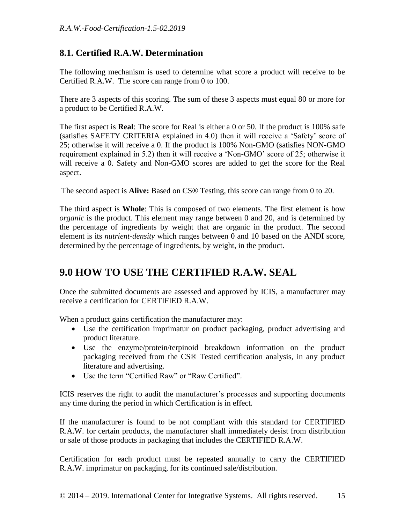## <span id="page-14-1"></span><span id="page-14-0"></span>**8.1. Certified R.A.W. Determination**

The following mechanism is used to determine what score a product will receive to be Certified R.A.W. The score can range from 0 to 100.

There are 3 aspects of this scoring. The sum of these 3 aspects must equal 80 or more for a product to be Certified R.A.W.

The first aspect is **Real**: The score for Real is either a 0 or 50. If the product is 100% safe (satisfies SAFETY CRITERIA explained in 4.0) then it will receive a 'Safety' score of 25; otherwise it will receive a 0. If the product is 100% Non-GMO (satisfies NON-GMO requirement explained in 5.2) then it will receive a 'Non-GMO' score of 25; otherwise it will receive a 0. Safety and Non-GMO scores are added to get the score for the Real aspect.

The second aspect is **Alive:** Based on CS® Testing, this score can range from 0 to 20.

The third aspect is **Whole**: This is composed of two elements. The first element is how *organic* is the product. This element may range between 0 and 20, and is determined by the percentage of ingredients by weight that are organic in the product. The second element is its *nutrient-density* which ranges between 0 and 10 based on the ANDI score, determined by the percentage of ingredients, by weight, in the product.

# <span id="page-14-2"></span>**9.0 HOW TO USE THE CERTIFIED R.A.W. SEAL**

Once the submitted documents are assessed and approved by ICIS, a manufacturer may receive a certification for CERTIFIED R.A.W.

When a product gains certification the manufacturer may:

- Use the certification imprimatur on product packaging, product advertising and product literature.
- Use the enzyme/protein/terpinoid breakdown information on the product packaging received from the CS® Tested certification analysis, in any product literature and advertising.
- Use the term "Certified Raw" or "Raw Certified".

ICIS reserves the right to audit the manufacturer's processes and supporting documents any time during the period in which Certification is in effect.

If the manufacturer is found to be not compliant with this standard for CERTIFIED R.A.W. for certain products, the manufacturer shall immediately desist from distribution or sale of those products in packaging that includes the CERTIFIED R.A.W.

Certification for each product must be repeated annually to carry the CERTIFIED R.A.W. imprimatur on packaging, for its continued sale/distribution.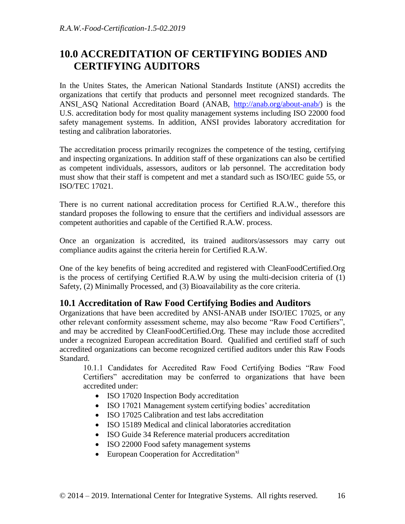# <span id="page-15-0"></span>**10.0 ACCREDITATION OF CERTIFYING BODIES AND CERTIFYING AUDITORS**

In the Unites States, the American National Standards Institute (ANSI) accredits the organizations that certify that products and personnel meet recognized standards. The ANSI\_ASQ National Accreditation Board (ANAB, [http://anab.org/about-anab/\)](http://anab.org/about-anab/) is the U.S. accreditation body for most quality management systems including ISO 22000 food safety management systems. In addition, ANSI provides laboratory accreditation for testing and calibration laboratories.

The accreditation process primarily recognizes the competence of the testing, certifying and inspecting organizations. In addition staff of these organizations can also be certified as competent individuals, assessors, auditors or lab personnel. The accreditation body must show that their staff is competent and met a standard such as ISO/IEC guide 55, or ISO/TEC 17021.

There is no current national accreditation process for Certified R.A.W., therefore this standard proposes the following to ensure that the certifiers and individual assessors are competent authorities and capable of the Certified R.A.W. process.

Once an organization is accredited, its trained auditors/assessors may carry out compliance audits against the criteria herein for Certified R.A.W.

One of the key benefits of being accredited and registered with CleanFoodCertified.Org is the process of certifying Certified R.A.W by using the multi-decision criteria of (1) Safety, (2) Minimally Processed, and (3) Bioavailability as the core criteria.

## <span id="page-15-1"></span>**10.1 Accreditation of Raw Food Certifying Bodies and Auditors**

Organizations that have been accredited by ANSI-ANAB under ISO/IEC 17025, or any other relevant conformity assessment scheme, may also become "Raw Food Certifiers", and may be accredited by CleanFoodCertified.Org. These may include those accredited under a recognized European accreditation Board. Qualified and certified staff of such accredited organizations can become recognized certified auditors under this Raw Foods Standard.

10.1.1 Candidates for Accredited Raw Food Certifying Bodies "Raw Food Certifiers" accreditation may be conferred to organizations that have been accredited under:

- ISO 17020 Inspection Body accreditation
- ISO 17021 Management system certifying bodies' accreditation
- ISO 17025 Calibration and test labs accreditation
- ISO 15189 Medical and clinical laboratories accreditation
- ISO Guide 34 Reference material producers accreditation
- ISO 22000 Food safety management systems
- $\bullet$  European Cooperation for Accreditation<sup>xi</sup>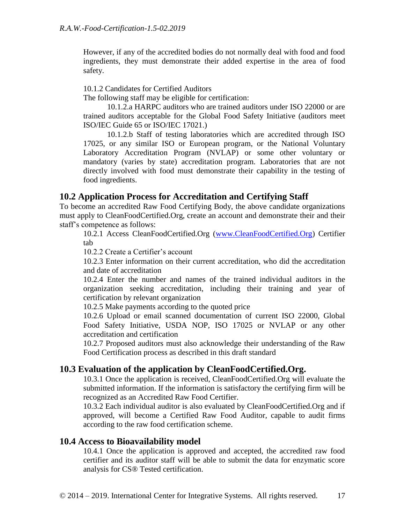However, if any of the accredited bodies do not normally deal with food and food ingredients, they must demonstrate their added expertise in the area of food safety.

10.1.2 Candidates for Certified Auditors

The following staff may be eligible for certification:

10.1.2.a HARPC auditors who are trained auditors under ISO 22000 or are trained auditors acceptable for the Global Food Safety Initiative (auditors meet ISO/IEC Guide 65 or ISO/IEC 17021.)

10.1.2.b Staff of testing laboratories which are accredited through ISO 17025, or any similar ISO or European program, or the National Voluntary Laboratory Accreditation Program (NVLAP) or some other voluntary or mandatory (varies by state) accreditation program. Laboratories that are not directly involved with food must demonstrate their capability in the testing of food ingredients.

### <span id="page-16-0"></span>**10.2 Application Process for Accreditation and Certifying Staff**

To become an accredited Raw Food Certifying Body, the above candidate organizations must apply to CleanFoodCertified.Org, create an account and demonstrate their and their staff's competence as follows:

10.2.1 Access CleanFoodCertified.Org [\(www.CleanFoodCertified.Org\)](http://www.rawfoodcertified.org/) Certifier tab

10.2.2 Create a Certifier's account

10.2.3 Enter information on their current accreditation, who did the accreditation and date of accreditation

10.2.4 Enter the number and names of the trained individual auditors in the organization seeking accreditation, including their training and year of certification by relevant organization

10.2.5 Make payments according to the quoted price

10.2.6 Upload or email scanned documentation of current ISO 22000, Global Food Safety Initiative, USDA NOP, ISO 17025 or NVLAP or any other accreditation and certification

10.2.7 Proposed auditors must also acknowledge their understanding of the Raw Food Certification process as described in this draft standard

### <span id="page-16-1"></span>**10.3 Evaluation of the application by CleanFoodCertified.Org.**

10.3.1 Once the application is received, CleanFoodCertified.Org will evaluate the submitted information. If the information is satisfactory the certifying firm will be recognized as an Accredited Raw Food Certifier.

10.3.2 Each individual auditor is also evaluated by CleanFoodCertified.Org and if approved, will become a Certified Raw Food Auditor, capable to audit firms according to the raw food certification scheme.

### <span id="page-16-2"></span>**10.4 Access to Bioavailability model**

10.4.1 Once the application is approved and accepted, the accredited raw food certifier and its auditor staff will be able to submit the data for enzymatic score analysis for CS® Tested certification.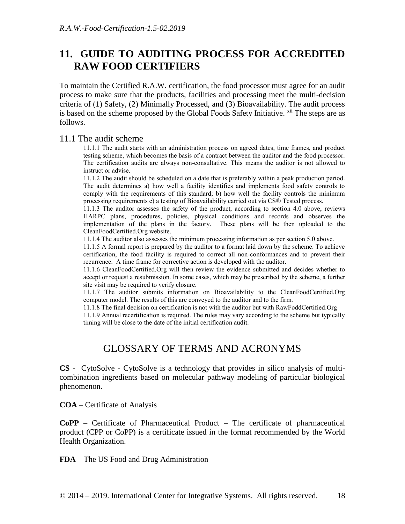# <span id="page-17-0"></span>**11. GUIDE TO AUDITING PROCESS FOR ACCREDITED RAW FOOD CERTIFIERS**

To maintain the Certified R.A.W. certification, the food processor must agree for an audit process to make sure that the products, facilities and processing meet the multi-decision criteria of (1) Safety, (2) Minimally Processed, and (3) Bioavailability. The audit process is based on the scheme proposed by the Global Foods Safety Initiative. <sup>xii</sup> The steps are as follows.

#### <span id="page-17-1"></span>11.1 The audit scheme

11.1.1 The audit starts with an administration process on agreed dates, time frames, and product testing scheme, which becomes the basis of a contract between the auditor and the food processor. The certification audits are always non-consultative. This means the auditor is not allowed to instruct or advise.

11.1.2 The audit should be scheduled on a date that is preferably within a peak production period. The audit determines a) how well a facility identifies and implements food safety controls to comply with the requirements of this standard; b) how well the facility controls the minimum processing requirements c) a testing of Bioavailability carried out via CS® Tested process.

11.1.3 The auditor assesses the safety of the product, according to section 4.0 above, reviews HARPC plans, procedures, policies, physical conditions and records and observes the implementation of the plans in the factory. These plans will be then uploaded to the CleanFoodCertified.Org website.

11.1.4 The auditor also assesses the minimum processing information as per section 5.0 above.

11.1.5 A formal report is prepared by the auditor to a format laid down by the scheme. To achieve certification, the food facility is required to correct all non-conformances and to prevent their recurrence. A time frame for corrective action is developed with the auditor.

11.1.6 CleanFoodCertified.Org will then review the evidence submitted and decides whether to accept or request a resubmission. In some cases, which may be prescribed by the scheme, a further site visit may be required to verify closure.

11.1.7 The auditor submits information on Bioavailability to the CleanFoodCertified.Org computer model. The results of this are conveyed to the auditor and to the firm.

11.1.8 The final decision on certification is not with the auditor but with RawFoddCertified.Org

<span id="page-17-2"></span>11.1.9 Annual recertification is required. The rules may vary according to the scheme but typically timing will be close to the date of the initial certification audit.

# GLOSSARY OF TERMS AND ACRONYMS

**CS -** CytoSolve - CytoSolve is a technology that provides in silico analysis of multicombination ingredients based on molecular pathway modeling of particular biological phenomenon.

**COA** – Certificate of Analysis

**CoPP** – Certificate of Pharmaceutical Product – The certificate of pharmaceutical product (CPP or CoPP) is a certificate issued in the format recommended by the World Health Organization.

**FDA** – The US Food and Drug Administration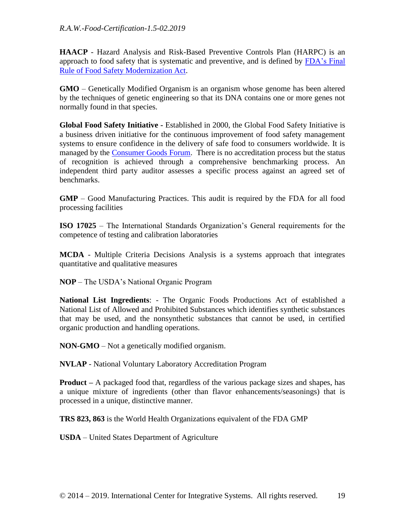**HAACP** - Hazard Analysis and Risk-Based Preventive Controls Plan (HARPC) is an approach to food safety that is systematic and preventive, and is defined by [FDA's Final](https://www.fda.gov/Food/GuidanceRegulation/FSMA/ucm334115.htm) [Rule of Food Safety Modernization Act.](https://www.fda.gov/Food/GuidanceRegulation/FSMA/ucm334115.htm)

**GMO** – Genetically Modified Organism is an organism whose genome has been altered by the techniques of genetic engineering so that its DNA contains one or more genes not normally found in that species.

**Global Food Safety Initiative -** Established in 2000, the Global Food Safety Initiative is a business driven initiative for the continuous improvement of food safety management systems to ensure confidence in the delivery of safe food to consumers worldwide. It is managed by the [Consumer Goods Forum.](http://www.theconsumergoodsforum.com/) There is no accreditation process but the status of recognition is achieved through a comprehensive benchmarking process. An independent third party auditor assesses a specific process against an agreed set of benchmarks.

**GMP** – Good Manufacturing Practices. This audit is required by the FDA for all food processing facilities

**ISO 17025** – The International Standards Organization's General requirements for the competence of testing and calibration laboratories

**MCDA** - Multiple Criteria Decisions Analysis is a systems approach that integrates quantitative and qualitative measures

**NOP** – The USDA's National Organic Program

**National List Ingredients**: - The Organic Foods Productions Act of established a National List of Allowed and Prohibited Substances which identifies synthetic substances that may be used, and the nonsynthetic substances that cannot be used, in certified organic production and handling operations.

**NON-GMO** – Not a genetically modified organism.

**NVLAP** - National Voluntary Laboratory Accreditation Program

**Product –** A packaged food that, regardless of the various package sizes and shapes, has a unique mixture of ingredients (other than flavor enhancements/seasonings) that is processed in a unique, distinctive manner.

**TRS 823, 863** is the World Health Organizations equivalent of the FDA GMP

**USDA** – United States Department of Agriculture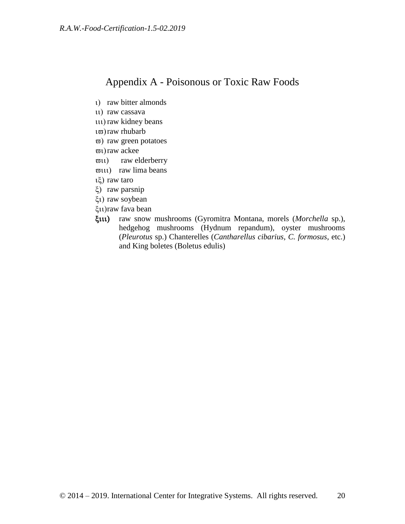## <span id="page-19-0"></span>Appendix A - Poisonous or Toxic Raw Foods

- 1) raw bitter almonds
- u) raw cassava
- uu) raw kidney beans
- $\iota$ <sub> $\bar{w}$ </sub>) raw rhubarb
- $\varpi$ ) raw green potatoes
- $\varpi$ <sub>1</sub>) raw ackee
- $\varpi$ <sub>11</sub>) raw elderberry
- $\varpi$ 111) raw lima beans
- $\iota(\xi)$  raw taro
- ξ) raw parsnip
- ξι) raw soybean
- raw fava bean
- raw snow mushrooms (Gyromitra Montana, morels (*Morchella* sp.), hedgehog mushrooms (Hydnum repandum), oyster mushrooms (*Pleurotus* sp.) Chanterelles (*Cantharellus cibarius*, *C. formosus*, etc.) and King boletes (Boletus edulis)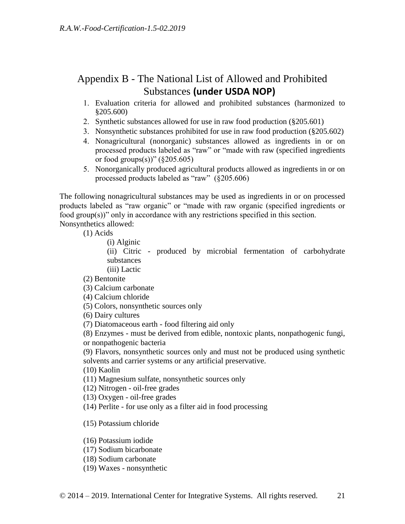# <span id="page-20-0"></span>Appendix B - The National List of Allowed and Prohibited Substances **(under USDA NOP)**

- Evaluation criteria for allowed and prohibited substances (harmonized to §205.600)
- 2. Synthetic substances allowed for use in raw food production (§205.601)
- 3. Nonsynthetic substances prohibited for use in raw food production  $(\S 205.602)$
- Nonagricultural (nonorganic) substances allowed as ingredients in or on processed products labeled as "raw" or "made with raw (specified ingredients or food groups(s))"  $(\S 205.605)$
- Nonorganically produced agricultural products allowed as ingredients in or on processed products labeled as "raw" (§205.606)

The following nonagricultural substances may be used as ingredients in or on processed products labeled as "raw organic" or "made with raw organic (specified ingredients or food group(s))" only in accordance with any restrictions specified in this section. Nonsynthetics allowed:

(1) Acids

```
(i) Alginic
```
(ii) Citric - produced by microbial fermentation of carbohydrate substances

(iii) Lactic

(2) Bentonite

(3) Calcium carbonate

- (4) Calcium chloride
- (5) Colors, nonsynthetic sources only

(6) Dairy cultures

(7) Diatomaceous earth - food filtering aid only

(8) Enzymes - must be derived from edible, nontoxic plants, nonpathogenic fungi, or nonpathogenic bacteria

(9) Flavors, nonsynthetic sources only and must not be produced using synthetic solvents and carrier systems or any artificial preservative.

(10) Kaolin

(11) Magnesium sulfate, nonsynthetic sources only

(12) Nitrogen - oil-free grades

(13) Oxygen - oil-free grades

(14) Perlite - for use only as a filter aid in food processing

(15) Potassium chloride

(16) Potassium iodide

(17) Sodium bicarbonate

(18) Sodium carbonate

(19) Waxes - nonsynthetic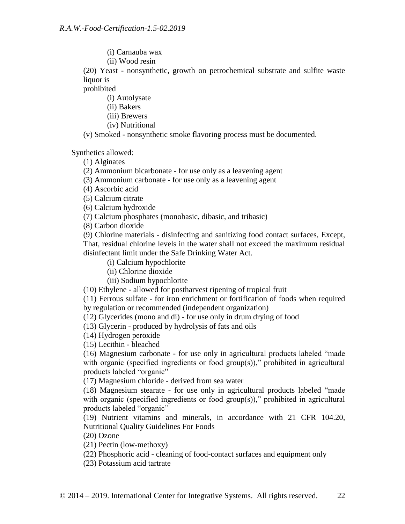(i) Carnauba wax

(ii) Wood resin

(20) Yeast - nonsynthetic, growth on petrochemical substrate and sulfite waste liquor is

prohibited

(i) Autolysate

(ii) Bakers

(iii) Brewers

(iv) Nutritional

(v) Smoked - nonsynthetic smoke flavoring process must be documented.

Synthetics allowed:

(1) Alginates

(2) Ammonium bicarbonate - for use only as a leavening agent

(3) Ammonium carbonate - for use only as a leavening agent

(4) Ascorbic acid

(5) Calcium citrate

(6) Calcium hydroxide

(7) Calcium phosphates (monobasic, dibasic, and tribasic)

(8) Carbon dioxide

(9) Chlorine materials - disinfecting and sanitizing food contact surfaces, Except, That, residual chlorine levels in the water shall not exceed the maximum residual disinfectant limit under the Safe Drinking Water Act.

(i) Calcium hypochlorite

(ii) Chlorine dioxide

(iii) Sodium hypochlorite

(10) Ethylene - allowed for postharvest ripening of tropical fruit

(11) Ferrous sulfate - for iron enrichment or fortification of foods when required by regulation or recommended (independent organization)

(12) Glycerides (mono and di) - for use only in drum drying of food

(13) Glycerin - produced by hydrolysis of fats and oils

(14) Hydrogen peroxide

(15) Lecithin - bleached

(16) Magnesium carbonate - for use only in agricultural products labeled "made with organic (specified ingredients or food group(s))," prohibited in agricultural products labeled "organic"

(17) Magnesium chloride - derived from sea water

(18) Magnesium stearate - for use only in agricultural products labeled "made with organic (specified ingredients or food group(s))," prohibited in agricultural products labeled "organic"

(19) Nutrient vitamins and minerals, in accordance with 21 CFR 104.20, Nutritional Quality Guidelines For Foods

(20) Ozone

(21) Pectin (low-methoxy)

(22) Phosphoric acid - cleaning of food-contact surfaces and equipment only

(23) Potassium acid tartrate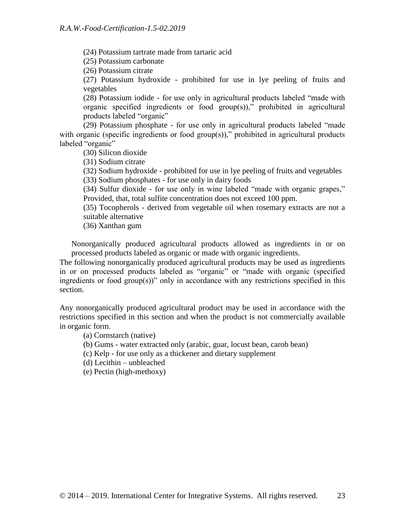(24) Potassium tartrate made from tartaric acid

(25) Potassium carbonate

(26) Potassium citrate

(27) Potassium hydroxide - prohibited for use in lye peeling of fruits and vegetables

(28) Potassium iodide - for use only in agricultural products labeled "made with organic specified ingredients or food group(s))," prohibited in agricultural products labeled "organic"

(29) Potassium phosphate - for use only in agricultural products labeled "made with organic (specific ingredients or food group(s))," prohibited in agricultural products labeled "organic"

(30) Silicon dioxide

(31) Sodium citrate

(32) Sodium hydroxide - prohibited for use in lye peeling of fruits and vegetables (33) Sodium phosphates - for use only in dairy foods

(34) Sulfur dioxide - for use only in wine labeled "made with organic grapes," Provided, that, total sulfite concentration does not exceed 100 ppm.

(35) Tocopherols - derived from vegetable oil when rosemary extracts are not a suitable alternative

(36) Xanthan gum

Nonorganically produced agricultural products allowed as ingredients in or on processed products labeled as organic or made with organic ingredients.

The following nonorganically produced agricultural products may be used as ingredients in or on processed products labeled as "organic" or "made with organic (specified ingredients or food group(s))" only in accordance with any restrictions specified in this section.

Any nonorganically produced agricultural product may be used in accordance with the restrictions specified in this section and when the product is not commercially available in organic form.

- (a) Cornstarch (native)
- (b) Gums water extracted only (arabic, guar, locust bean, carob bean)
- (c) Kelp for use only as a thickener and dietary supplement
- (d) Lecithin unbleached
- (e) Pectin (high-methoxy)